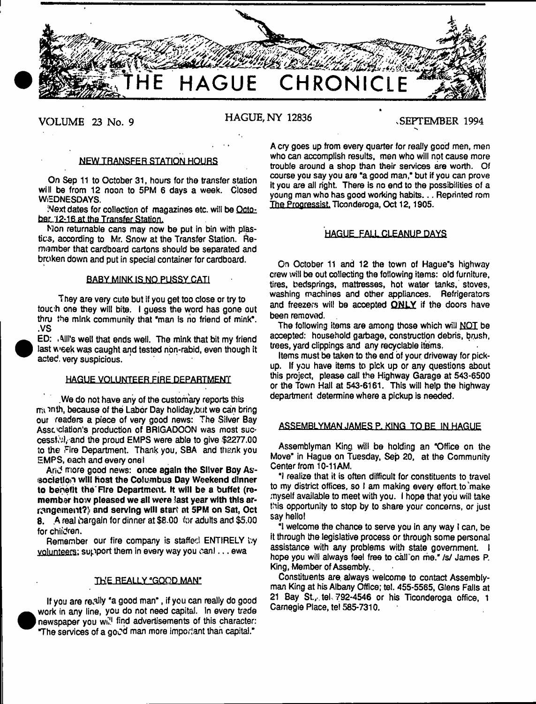

## **VOLUME 23 No. 9 HAGUE, NY 12836** .SEPTEMBER 1994

#### NEW TRANSFER STATION HOURS

On Sep 11 to October 31, hours for the transfer station will be from 12 noon to 5PM 6 days a week. Closed WEDNESDAYS.

Next dates for collection of magazines etc. will be October 12-16 at the Transfer Station.

Mon returnable cans may now be put in bin with plastics, according to Mr. Snow at the Transfer Station. Remiamber that cardboard cartons should be separated and broken down and put in special container for cardboard.

#### BABY MINK IS NO PUSSY CATI

They are very cute but if you get too close or try to touch one they will bite. I guess the word has gone out thru the mink community that "man is no friend of mink". .VS

ED: . All's well that ends weil. The mink that bit my friend last week was caught and tested non-rabid, even though it acted, very suspicious.

#### HAGUE VOLUNTEER FIRE DEPARTMENT

.We do not have any of the customary reports this rnt 'tnth, because of the Labor Day holiday,but we can bring our readers a piece of very good news: The Silver Bay Association's production of BRIGADOON was most successful, and the proud EMPS were able to give \$2277.00 to the Fire Department. Thank you, SBA and thank you EMPS, each and every one!

And more good news: once again the Silver Boy Association w ill Host the Columbus Day Weekend dinner to benefit the Fire Department. It will be a buffet (remember how pleased we all were last year with this arrangement?) and serving will start at 5PM on Sat, Oct 8. A real bargain for dinner at \$8.00 for adults and \$5.00 for children.

Remember our fire company is staffed ENTIRELY by volunteers: support them in every way you can!... ewa

#### THE REALLY "GOOD MAN"

If you are re. ally 'a good man", if you can really do good work in any line, you do not need capital. In every trade newspaper you will find advertisements of this character: \*The services of a good man more important than capital."

A cry goes up from every quarter for really good men, men who can accomplish results, men who will not cause more trouble around a shop than their services are worth. Of course you say you are "a good man," but if you can prove It you are all right. There is no end to the possibilities of a young man who has good working habits... Reprinted rom The Progressist. Ticonderoga, Oct 12, 1905.

#### **HAGUE FALL CLEANUP DAYS**

On October 11 and 12 the town of Hague"s highway crew will be out collecting the following items: old furniture, tires, bedsprings. mattresses, hot water tanks, stoves, washing machines and other appliances. Refrigerators and freezers will be accepted ONLY if the doors have been removed.

The following items are among those which will NOT be accepted: household garbage, construction debris, brush, trees, yard clippings and any recyclable items.

Items must be taken to the end of your driveway for pickup. If you have items to pick up or any questions about this project, please call the Highway Garage at 543-6500 or the Town Hall at 543-6161. This will help the highway department determine where a pickup is needed.

#### ASSEMBLYMAN JAMES P. KING TO BE IN HAGUE

Assemblyman King will be holding an "Office on the Move" in Hague on Tuesday, Sep 20, at the Community Center from 10-11AM.

"I realize that it is often difficult for constituents to travel to my district offices, so I am making every effort to make myself available to meet with you. I hope that you will take this opportunity to stop by to share your concerns, or just say hello!

"1 welcome the chance to serve you in any way I can, be it through the legislative process or through some personal assistance with any problems with state government. I hope you will always feel free to call on me." /s/ James P. King, Member of Assembly..

Constituents are. always welcome to contact Assemblyman King at his Albany Office; tei. 455-5565, Glens Falls at 21 Bay St., tel.  $792-4546$  or his Ticonderoga office, 1 Carnegie Place, tei 585-7310.

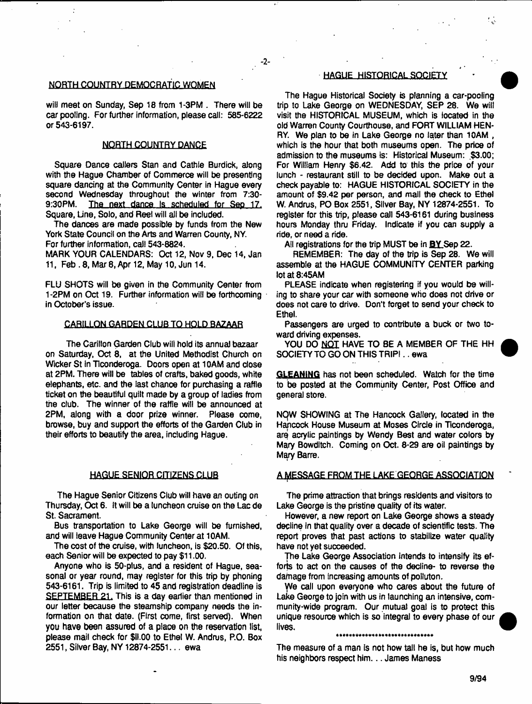#### NQRTH COUNTRY DEMOCRATIC WOMEN

will meet on Sunday, Sep 18 from 1-3PM . There will be car pooling. For further information, please call: 585-6222 or 543-6197.

- **2**-

#### NORTH COUNTRY DANCE

Square Dance callers Stan and Cathie Burdick, aiong with the Hague Chamber of Commerce will be presenting square dancing at the Community Center in Hague every second Wednesday throughout the winter from 7:30- 9:30PM. The next dance Is scheduled for Sep 17. Square, Line, Solo, and Reel will alt be included.

The dances are made possible by funds from the New York State Council on the Arts and Warren County, NY. For further information, call 543-8824.

MARK YOUR CALENDARS: Oct 12, Nov 9, Dec 14, Jan 11, Feb .8, Mar 8, Apr 12, May 10, Jun 14.

FLU SHOTS will be given in the Community Center from 1-2PM on Oct 19. Further information will be forthcoming in October's issue.

#### CARILLON GARDEN CLUB TO HOLD BAZAAR

The Carillon Garden Club will hold its annua) bazaar on Saturday, Oct 8, at the United Methodist Church on Wicker St in Ticonderoga. Doors open at 10AM and close at 2PM. There will be tables of crafts, baked goods, white elephants, etc. and the last chance for purchasing a raffle ticket on the beautiful quilt made by a group of ladies from the club. The winner of the raffle will be announced at 2PM, along with a door prize winner. Please come, browse, buy and support the efforts of the Garden Club in their efforts to beautify the area, including Hague.

#### **HAGUE SENIOR CITIZENS CLUB**

The Hague Senior Citizens Club will have an outing on Thursday, Oct 6. ft will be a luncheon cruise on the Lac de St. Sacrament.

Bus transportation to Lake George will be furnished, and will leave Hague Community Center at 10AM.

The cost of the cruise, with luncheon, is \$20.50. Of this, each Senior will be expected to pay \$11.00.

Anyone who is 50-plus, and a resident of Hague, seasonal or year round, may register for this trip by phoning 543-6161. Trip is limited to 45 and registration deadline is SEPTEMBER 21. This is a day earlier than mentioned in our letter because the steamship company needs the information on that date. (First come, first served). When you have been assured of a place on the reservation list, please mail check for Sll.00 to Ethel W. Andrus, P.O. Box 2551, Silver Bay, NY 12874-2551... ewa

#### **HAGUE HISTORICAL SOCIETY**

The Hague Historical Society is planning a car-pooling trip to Lake George on WEDNESDAY, SEP 28. We will visit the HISTORICAL MUSEUM, which is located in the old Warren County Courthouse, and FORT WILLIAM HEN-RY. We plan to be in Lake George no later than 10AM , which is the hour that both museums open. The price of admission to the museums is: Historical Museum: \$3.00; For William Henry \$6.42. Add to this the price of your lunch - restaurant still to be decided upon. Make out a check payable to: HAGUE HISTORICAL SOCIETY in the amount of \$9.42 per person, and mail the check to Ethel W. Andrus, PO Box 2551, Silver Bay, NY 12874-2551. To register for this trip, please call 543-6161 during business hours Monday thru Friday. Indicate if you can supply a ride, or need a ride.

All registrations for the trip MUST be in BY Sep 22.

REMEMBER: The day of the trip is Sep 28. We will assemble at the HAGUE COMMUNITY CENTER parking lot at 8:45AM

PLEASE indicate when registering if you would be willing to share your car with someone who does not drive or does not care to drive. Don't forget to send your check to Ethel.

Passengers are urged to contribute a buck or two toward driving expenses.

YOU DO NOT HAVE TO BE A MEMBER OF THE HH SOCIETY TO GO ON THIS TRIPI.. ewa

**GLEANING** has not been scheduled. Watch for the time to be posted at the Community Center, Post Office and general store.

NOW SHOWING at The Hancock Gallery, located in the Hancock House Museum at Moses Circle in Ticonderoga, are acrylic paintings by Wendy Best and water colors by Mary Bowditch. Coming on Oct. 8-29 are oil paintings by Mary Barre.

#### A MESSAGE FROM THE LAKE GEORGE ASSOCIATION

The prime attraction that brings residents and visitors to Lake George is the pristine quality of its water

However, a new report on Lake George shows a steady decline in that quality over a decade of scientific tests. The report proves that past actions to stabilize water quality have not yet succeeded.

The Lake George Association intends to intensify its efforts to act on the causes of the decline- to reverse the damage from increasing amounts of polluton.

We call upon everyone who cares about the future of Lake George to join with us in launching an intensive, community-wide program. Our mutual goal is to protect this unique resource which is so integral to every phase of our lives.

The measure of a man Is not how tall he is, but how much his neighbors respect him. . . James Maness

\*\*\*\*\*\*\*\*\*\*\*\*\*\*\*\*\*\*\*\*\*\*\*\*\*\*\*\*\*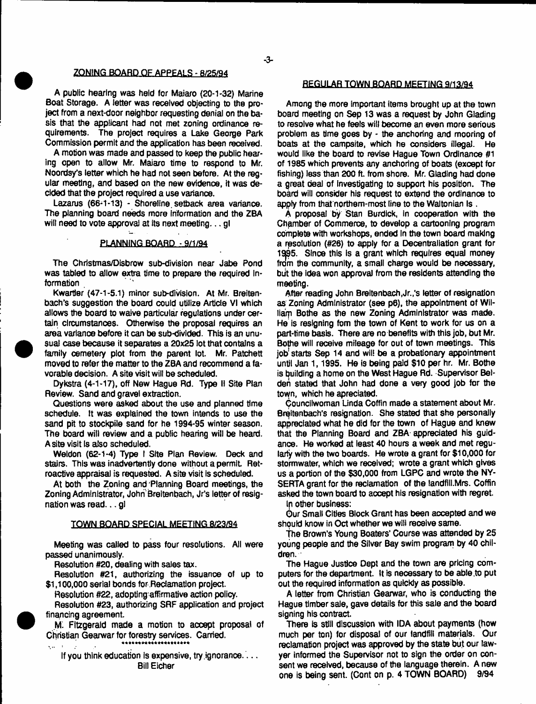#### ZONING BOARD OF APPEALS - 8/25/94

A public bearing was held for Maiaro (20-1-32) Marine Boat Storage. A letter was received objecting to the project from a next-door neighbor requesting denial on the basis that the applicant had not met zoning ordinance requirements. The project requires a Lake George Park Commission permit and the application has been received.

A motion was mads and passed to keep the public hearing open to allow Mr. Maiaro time to respond to Mr. Noordsy's tetter which he had not seen before. At the regular meeting, and based on the new evidence, it was decided that the project required a use variance.

Lazarus (66-1-13) - Shoreline setback area variance. The planning board needs more information and the ZBA will need to vote approval at its next meeting...gl

#### PLANNING BOARD · 9/1/94

The Christmas/Disbrow sub-division near Jabe Pond was tabled to allow extra time to prepare the required Information

Kwartler (47-1-5.1) minor sub-division. At Mr. Breitenbach's suggestion the board could utilize Article VI which allows the board to waive particular regulations under certain circumstances. Otherwise the proposal requires an area variance before it can be sub-divided. This is an unusual case because it separates a 20x25 lot that contains a family cemetery plot from the parent lot. Mr. Patchett moved to refer the matter to the ZBA and recommend a favorable decision. A site visit will be scheduled.

Dykstra (4-1-17), off New Hague Rd. Type II Site Plan Review. Sand and gravei extraction.

Questions were asked about the use and planned time schedule. It was explained the town intends to use the sand pit to stockpile sand for he 1994-95 winter season. The board will review and a public hearing will be heard. A site visit is also scheduled.

Weldon (62-1-4) Type I Site Plan Review. Deck and stairs. This was inadvertently done without a permit. Retroactive appraisal is requested. A site visit is scheduled.

At both the Zoning and Planning Board meetings, the Zoning Administrator, John'Breitenbach, Jr's letter of resignation was read... gl

#### TOWN BOARD SPECIAL MEETING 8/23/94

Meeting was called to pass four resolutions. All were passed unanimously.

Resolution #20, dealing with sales tax.

Resolution #21, authorizing the issuance of up to \$1,100,000 serial bonds for Reclamation project.

Resolution #22, adopting affirmative action policy.

Resolution #23, authorizing SRF application and project financing agreement.

Mi Fitzgerald made a motion to accept proposal of Christian Gearwar for forestry services. Carried.

If you think education is expensive, try ignorance.... Bill Eicher

#### REGULAR TOWN BOARD MEETING 9/13/94

Among the more important items brought up at the town board meeting on Sep 13 was a request by John Glading to resolve what he feeis will become an even more serious problem as time goes by - the anchoring and mooring of boats at the campsite, which he considers illegal. He would like the board to revise Hague Town Ordinance #1 of 1985 which prevents any anchoring of boats (except for fishing) less than 200 ft. from shore. Mr. Glading had done a great deal of investigating to support his position. The board will consider his request to extend the ordinance to appiy from that northern-most line to the Waltonian Is .

A proposal by Stan Burdick, in cooperation with the Chamber of Commerce, to develop a cartooning program complete with workshops, ended In the town board making a resolution (#26) to apply for a Decentraliation grant for 1395. Since this is a grant which requires equal money from the community, a small charge would be necessary, biit the idea won approval from the residents attending the meeting.

After reading John Breitenbach, Jr.,'s letter of resignation as Zoning Administrator (see p6), the appointment of William Bothe as the new Zoning Administrator was made. He is resigning fom the town of Kent to work for us on a part-time basis. There are no benefits with this job, but Mr. Bothe will receive mileage for out of town meetings. This job starts Sep 14 and will be a probationary appointment until Jan 1,1995. He is being paid \$10 per hr. Mr. Bothe is building a home on the West Hague Rd. Supervisor Belden stated that John had done a very good job for the town, which he apreciated.

Councilwoman Unda Coffin made a statement about Mr. Breitenbach's resignation. She stated that she personally appreciated what he did for the town of Hague and knew that the Planning Board and ZBA appreciated his guidance. He worked at least 40 hours a week and met regularly with the two boards. He wrote a grant for \$10,000 for stormwater, which we received; wrote a grant which gives us a portion of the \$30,000 from LGPC and wrote the NY-SERTA grant for the reclamation of the landfill.Mrs. Coffin asked the town board to accept his resignation with regret.

Ip other business:

Our Small Cities Block Grant has been accepted and we should know in Oct whether we will receive same.

The Brown's Young Boaters' Course was attended by 25 young people and the Silver Bay swim program by 40 children.

The Hague Justice Dept and the town are pricing computers for the department. It is necessary to be able to put out the required information as quickly as possible.

A letter from Christian Gearwar, who is conducting the Hague timber sale, gave details for this sale and the board signing his contract.

There is still discussion with IDA about payments (how much per ton) for disposal of our landfill materials. Our reclamation project was approved by the state but our lawyer informed the Supervisor not to sign the order on consent we received, because of the language therein. A new one is being sent. (Cont on p. 4 TOWN BOARD) 9/94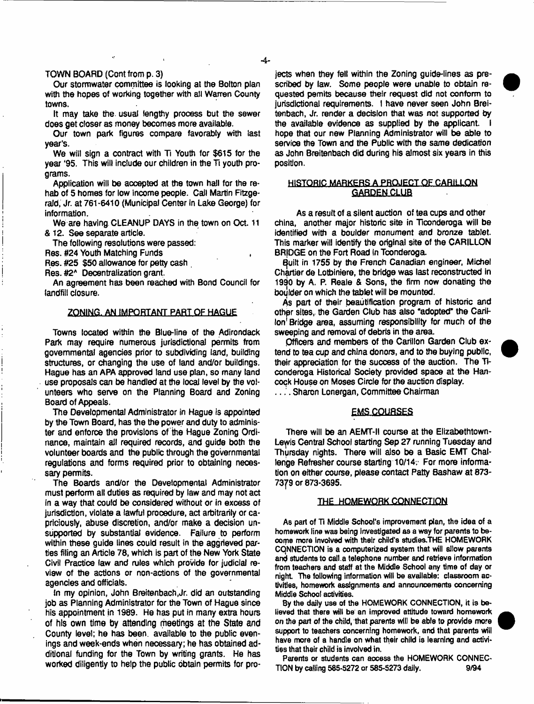#### TOWN BOARD (Cont from p. 3)

Our stormwater committee is looking at the Bolton plan with the hopes of working together with all Warren County towns.

It may take the. usual lengthy process but the sewer does get closer as money becomes more available.

Our town park figures compare favorably with last year's.

We will sign a contract with Ti Youth for \$615 for the year '95. This will include our children in the Ti youth programs.

Application will be accepted at the town hall for the rehab of 5 homes for low income people. Call Martin Fitzgerald, Jr. at 761-6410 (Municipal Center in Lake George) for information.

We are having CLEANUP DAYS in the town on Oct. 11 & 12. See separate article.

The following resolutions were passed:

Res. #24 Youth Matching Funds ,

Res. #25 \$50 allowance for petty cash

Res. #2\* Decentralization grant.

An agreement has been reached with Bond Council for landfill closure.

#### ZONING. AN IMPORTANT PART OF HAGUE

Towns located within the Blue-line of the Adirondack Park may require numerous jurisdictional permits from governmental agencies prior to subdividing land, building structures, or changing the use of land and/or buildings. Hague has an APA approved land use plan, so many land use proposals can be handled at the local level by the volunteers who serve on the Planning Board and Zoning Board of Appeals.

The Developmental Administrator in Hague is appointed by the Town Board, has the the power and duty to administer and enforce the provisions of the Hague Zoning Ordinance, maintain ail required records, and guide both the volunteer boards and the public through the governmental regulations and forms required prior to obtaining necessary permits.

The Boards and/or the Developmental Administrator must perform all duties as required by law and may not act in a way that could be considered without or in excess of jurisdiction, violate a lawful procedure, act arbitrarily or capriciously. abuse discretion, and/or make a decision unsupported by substantial evidence. Failure to perform within these guide lines could result in the aggrieved parties filing an Article 78, which is part of the New York State Civil Practice law and rules which provide for judicial review of the actions or non-actions of the governmental agencies and officials.

In my opinion, John Breitenbach,Jr. did an outstanding job as Planning Administrator for the Town of Hague since his appointment in 1989. He has put in many extra hours of his own time by attending meetings at the State and County level; he has been, available to the public evenings and week-ends when necessary; he has obtained additional funding for the Town by writing grants. He has worked diligently to help the public obtain permits for projects when they fell within the Zoning guide-lines as prescribed by law. Some people were unable to obtain requested pemits because their request did not conform to jurisdictional requirements. I have never seen John Breitenbach, Jr. render a decision that was not supported by the available evidence as supplied by the applicant. hope that our new Planning Administrator will be able to service the Town and the Public with the same dedication as John Breitenbach did during his almost six years in this position.

#### HISTORIC MARKERS A PROJECT OF CARILLON **GARDEN CLUB**

As a result of a silent auction of tea cups and other china, another major historic site in Ticonderoga will be identified with a boulder monument and bronze tablet. This marker will identify the original site of the CARILLON BRjDGE on the Fort Road In Tconderoga.

quilt in 1755 by the French Canadian engineer, Michel Chartier de Lotbiniere, the bridge was last reconstructed in 1990 by A. P. Reale & Sons, the firm now donating the boijlder on which the tablet will be mounted.

As part of their beautification program of historic and other sites, the Garden Club has also "adopted" the Carillon<sup>1</sup> Bridge area, assuming responsibility for much of the sweeping and removal of debris in the area.

Officers and members of the Carillon Garden Club extend to tea cup and china donors, and to the buying public, their appreciation for the success of the auction. The Hconderoga Historical Society provided space at the Hancock House on Moses Circle *for the* auction display.

. . . Sharon Lonergan, Committee Chairman

#### **EMS COURSES**

There will be an AEMT-II course at the Elizabethtown-Lewis Central School starting Sep 27 running Tuesday and Thursday nights. There will also be a Basic EMT Challenge Refresher course starting 10/14. For more information on either course, please contact Patty Bashaw at 873- 7379 or 873-3695.

#### THE HOMEWORK CONNECTION

**As part of TI Middle School's improvement plan, the idea of a homework line was being investigated as a way for parents to become more involved with their child's studies.THE HOMEWORK CONNECTION is a computerized system that will allow parents and students to call.a telephone number and retrieve information from teachers and staff at the Middle School any time of day or night The following information will be available: classroom activities, homework assignments and announcements concerning Middle School activities.**

**By the daily use of the HOMEWORK CONNECTION, it ie believed that there will be an improved attitude toward homework** *on* **the part** *of* **the child, that parents will be able to provide more support to teachers concerning homework, and that parents will have more of a handle on what their child is learning and activities that their child is involved in.**

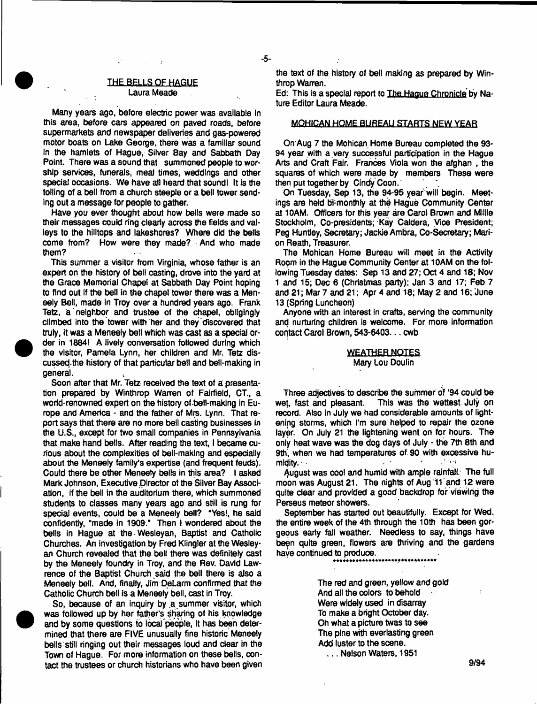#### THE BELLS OF HAGUE Laura Meade

 $\mathcal{L}^{\text{max}}(\mathcal{L}^{\text{max}})$  , where  $\mathcal{L}^{\text{max}}$ 

Many years ago, before electric power was available in this area, before cars appeared on paved roads, before supermarkets and newspaper deliveries and gas-powered motor boats on Lake George, there was a familiar sound in the hamlets of Hague, Silver Bay and Sabbath Day Point. There was a sound that summoned people to worship services, funerals, meal times, weddings and other special occasions. We have all heard that soundl It is the tolling of a bell from a church steeple or a bell tower sending out a message for people to gather.

Have you ever thought about how bells were made so their messages could ring clearly across the fields and valleys to the hilltops and lakeshores? Where did the bells come from? How were they made? And who made them?

This summer a visitor from Virginia, whose father is an expert on the history of bell casting, drove into the yard at the Grace Memorial Chape! at Sabbath Day Point hoping to find out if the bell in the chapel tower there was a Meneely Bell, made in Troy over a hundred years ago. Frank Tetz, a 'neighbor and trustee of the chapel, obligingly climbed into the tower with her and they discovered that truly, it was a Meneely bell which was cast as a special order in 1884! A lively conversation followed during which the visitor, Pamela Lynn, her children and Mr. Tetz discussed the history of that particular bell and bell-making in general.

Soon after that Mr. Tetz received the text of a presentation prepared by Winthrop Warren of Fairfield, CT., a wortd-renowned expert on the history of bell-making in Europe and America - and the father of Mrs. Lynn. That report says that there are no more bell casting businesses in the U.S., except for two small companies in Pennsylvania that make hand bells. After reading the text, I became curious about the complexities of bell-making and especially about the Meneely family's expertise (and frequent feuds). Could there be other Meneely bells in this area? I asked Mark Johnson, Executive Director of the Silver Bay Association, If the bell in the auditorium there, which summoned students to classes many years ago and still is rung for special events, could be a Meneely bell? "Yes!, he said confidently, "made in 1909." Then I wondered about the bells in Hague at the Wesleyan, Baptist and Catholic Churches. An investigation by Fred Klingler at the Wesleyan Church revealed that the bell there was definitely cast by the Meneely foundry in Troy, and the Rev. David Lawrence of the Baptist Church said the bell there is also a Meneely bell. And, finally, Jim DeLarm confirmed that the Catholic Church bell is a Meneely bell, cast in Troy.

So, because of an inquiry by a summer visitor, which was followed up by her father's sharing of his knowledge and by some questions to local 'people, it has been determined that there are FIVE unusually fine historic Meneely bells still ringing out their messages loud and dear in the Town of Hague. For more information on these bells, contact the trustees or church historians who have been given the text of the history of bell making as prepared by Winthrop Warren.

Ed: This is a special report to The Hague Chronicle by Nature Editor Laura Meade.

#### MOHICAN HOME BUREAU STARTS NEW YEAR

On Aug 7 the Mohican Home Bureau completed the 93- 94 year with a very successful participation in the Hague Arts and Craft Fair. Frances Viola won the afghan , the squares of which were made by members These were then put together by Cindy Coon.

On Tuesday, Sep 13, the 94-95 year will begin. Meetings are held bi-monthly at the Hague Community Center at 10AM. Officers for this year are Carol Brown and Millie Stockholm, Co-presidents; Kay Caldera, Vice President; Peg Huntley, Secretary; JackieAmbra, Co-Secretary; Marion Reath, Treasurer.

The Mohican Home Bureau will meet in the Activity Room in the Hague Community Center at 10AM on the following Tuesday dates: Sep 13 and 27; Oct 4 and 18; Nov 1 and 15; Dec 6 (Christmas party); Jan 3 and 17; Feb 7 and 21; Mar 7 and 21; Apr 4 and 18; May 2 and 16; June 13 (Spring Luncheon)

Anyone with an Interest in crafts, serving the community and nurturing children is welcome. For more Information contact Carol Brown, 543-6403... cwb

#### WEATHER NOTES Mary Lou Doulin

Three adjectives to describe the summer of '94 could be wet, fast and pleasant. This was the wettest July on record. Also in July we had considerable amounts of lightening storms, which I'm sure helped to repair the ozone layer. On July 21 the lightening went on for hours. The only heat wave was the dog days of July - the 7th 8th and 9th, when we had temperatures of 90 with excessive humidity.  $\blacksquare$ 

August was cool and humid with ample rainfall. The full moon was August 21. The nights of Aug 11 and 12 were quite clear and provided a good backdrop for viewing the Perseus meteor showers.

September has started out beautifully. Except for Wed. the entire week of the 4th through the 10th has been gorgeous early fall weather. Needless to say, things have been quite green, flowers are thriving and the gardens have continued to produce.

The red and green, yellow and gold And all the colors to behold Were widely used in disarray To make a bright October day. Oh what a picture twas to see The pine with everlasting green Add luster to the scene. ... Nelson Waters, 1951

9/94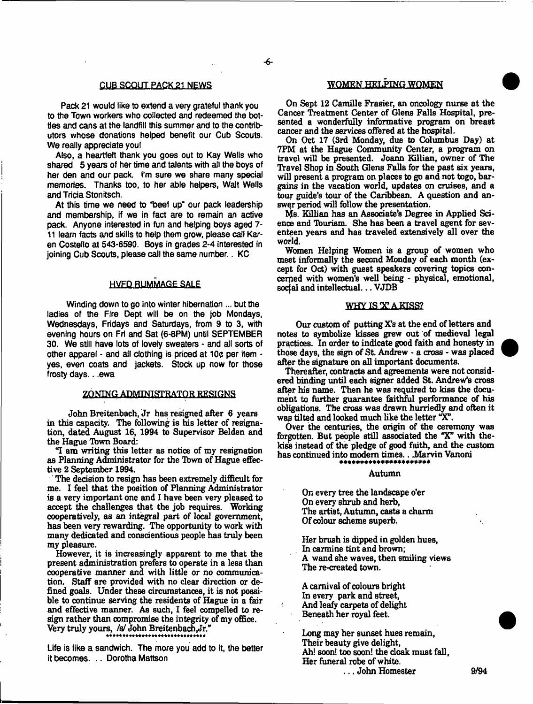#### **CUB SCQULEACK£**1 **NEWS**

Pack 21 would like to extend a very grateful thank you to the Town workers who collected and redeemed the bottles and cans at the landfill this summer and to the contributors whose donations helped benefit our Cub Scouts. We really appreciate youl

Also, a heartfelt thank you goes out to Kay Wells who shared 5 years of her time and talents with all the boys of her den and our pack. I'm sure we share many special memories. Thanks too, to her able helpers, WaJt Wells and Tricia Stonitsch.

At this time we need to 'beef up' our pack leadership and membership, if we in fact are to remain an active pack. Anyone interested in fun and helping boys aged 7- 11 learn facts and skills to help them grow, please call Karen Costello at 543-6590. Boys in grades 2-4 interested in joining Cub Scouts, please call the same number.. KC

#### HVFD RUMMAGE SALE

Winding down to go into winter hibernation ... but the ladies of the Fire Dept will be on the job Mondays, Wednesdays, Fridays and Saturdays, from 9 to 3, with evening hours on Fri and Sat (6-8PM) until SEPTEMBER 30. We still have lots of lovely sweaters - and all sorts of ether apparel • and all clothing is priced at 10c per item • yes, even coats and jackets. Stock up now for those frosty days.. .ewa

#### ZONING ADMINISTRATOR RESIGNS

John Breitenbach, Jr has resigned after 6 years in this capacity. The following is his letter of resignation, dated August 16, 1994 to Supervisor Belden and the Hague Tbwn Board:

"I am writing this letter as notice of my resignation as Planning Administrator for the Town of Hague effective 2 September 1994.

The decision to resign has been extremely difficult for me. I feel that the position of Planning Administrator is a very important one and I have been very pleased to accept the challenges that the job requires. Working cooperatively, as an integral part of local government, has been very rewarding. The opportunity to work with many dedicated and conscientious people has truly been my pleasure.

However, it is increasingly apparent to me that the present administration prefers to operate in a less than cooperative manner and with little or no communication. Staff are provided with no clear direction or defined goals. Under these circumstances, it is not possible to continue serving the residents of Hague in a fair and effective manner. As such, I feel compelled to resign rather than compromise the integrity of my office. Very truly yours, /s/ John Breitenbach, Jr." 44 4+4 4\* \* \* 4444\* \* \* 4444444\*4 44 444 4

Life is tike a sandwich. The more you add to it, the better it becomes. .. Dorotha Mattson

#### WOMEN HELPING WOMEN

On Sept 12 Camille Frasier, an oncology nurse at the Cancer Treatment Center of Glens Falls Hospital, presented a wonderfully informative program on breast cancer and the services offered at the hospital.

On Oct 17 (3rd Monday, due to Columbus Day) at 7PM at the Hague Community Center, a program on travel will be presented. Joann Killian, owner of The Travel Shop in South Glens Falls for the past six years, will present a program on places to go and not togo, bargains in the vacation world, updates on cruises, and a tour guide's tour of the Caribbean. A question and answer period will follow the presentation.

Me. Killian has an Associate's Degree in Applied Science and Tburism. She has been a travel agent for seventeen years and has traveled extensively all over the world.

Women Helping Women is a group of women who meet informally the second Monday of each month (except for Oct) with guest speakers covering topics concerned with women's well being - physical, emotional, socjal and intellectual... VJDB

#### **WHY IS Y A KISS?**

Our custom of putting X's at the end of letters and notes to symbolize kisses grew out of medieval legal practices. In order to indicate good faith and honesty in those days, the sign of St. Andrew - a cross - was placed after the signature on all important documents.

Thereafter, contracts and agreements were not considered binding until each signer added St. Andrew's cross after his name. Then he was required to kiss the document to further guarantee faithful performance of his obligations. The cross was drawn hurriedly and often it was tilted and looked much like the letter "X".

Over the centuries, the origin of the ceremony was forgotten. But people still associated the "X" with thekiss instead of the pledge of good faith, and the custom has continued into modern times... Marvin Vanoni

#### Autumn

On every tree the landscape o'er On every shrub and herb, The artist, Autumn, casts a charm Of colour scheme superb.

Her brush is dipped in golden hues, In carmine tint and brown; A wand she waves, then smiling views The re-created town.

A carnival of colours bright In every park and street, And leafy carpets of delight Beneath her royal feet.

Long may her sunset hues remain, Their beauty give delight, Ah! soon! too soon! the cloak must fall. Her funeral robe of white. ... John Homester 9/94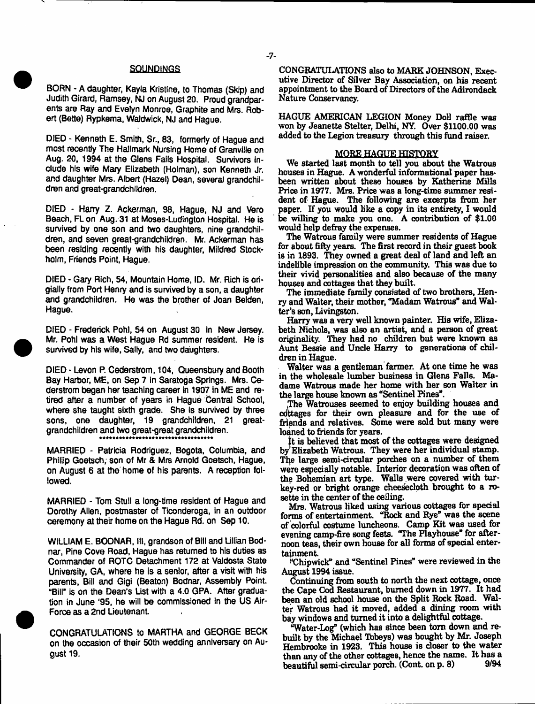#### **SOUNDINGS**

BORN - A daughter, Kayla Kristine, to Thomas (Skip) and Judith Girard, Ramsey, NJ on August 20. Proud grandparents are Ray and Evelyn Monroe, Graphite and Mrs. Robert (Bette) Rypkema, Waldwick, NJ and Hague.

DIED - Kenneth E. Smith, Sr., 83, formerly of Hague and most recently The Hallmark Nursing Home of Granville on Aug. 20, 1994 at the Glens Falls Hospital. Survivors include his wife Mary Elizabeth (Holman), son Kenneth Jr. and daughter Mrs. Albert (Hazel) Dean, several grandchildren and great-grandchildren.

DIED - Harry Z. Ackerman, 98, Hague, NJ and Vero Beach, FL on Aug. 31 at Moses-Ludington Hospital. He is survived by one son and two daughters, nine grandchildren, and seven great-grandchildren. Mr. Ackerman has been residing recently with his daughter, Mildred Stockholm, Friends Point, Hague.

DIED - Gary Rich, 54, Mountain Home, ID. Mr. Rich is origially from Port Henry and is survived by a son, a daughter and grandchildren. He was the brother of Joan Belden, Hague.

DIED - Frederick Pohl, 54 on August 30 in New Jersey. Mr. Pohl was a West Hague Rd summer resident. He is survived by his wife, Sally, and two daughters.

DIED - Levon P. Cederstrom, 104, Gueensbury and Booth Bay Harbor, ME, on Sep 7 in Saratoga Springs. Mrs. Cederstrom began her teaching career in 1907 in ME and retired after a number of years in Hague Central School, where she taught sixth grade. She is survived by three sons, one daughter, 19 grandchildren, 21 greatgrandchildren and two great-great grandchildren. + \* + + \* 4 \*4 4444\*44 4444\* 444\* 444\*44444 44

MARRIED - Patricia Rodriguez, Bogota, Columbia, and Phillip Goetsch, son of Mr & Mrs Arnold Goetsch, Hague, on August 6 at the home of his parents. A reception followed.

MARRIED - Tom Stull a long-time resident of Hague and Dorothy Allen, postmaster of Ticonderoga, in an outdoor ceremony at their home on the Hague Rd. on Sep 10.

WILLIAM E. BODNAR, 111, grandson of Bill and Lillian Bodnar, Pine Cove Road, Hague has returned to his duties as Commander of ROTC Detachment 172 at Valdosta State University, GA, where he is a senior, after a visit with his parents, Bill and Gigi (Beaton) Bodnar, Assembly Point "Bill" is on the Dean's List with a 4.0 GPA. After graduation in June \*95, he will be commissioned in the US Air-Force as a 2nd Lieutenant

CONGRATULATIONS to MARTHA and GEORGE BECK on the occasion of their 50th wedding anniversary on August 19.

CONGRATULATIONS also to MARK JOHNSON, Executive Director of Silver Bay Association, on his recent appointment to the Board of Directors of the Adirondack Nature Conservancy.

HAGUE AMERICAN LEGION Money Doll raffle was won by Jeanette Stelter, Delhi, NY. Over \$1100.00 was added to the Legion treasury through this fund raiser.

#### MORE HAGUE HISTORY

We started last month to tell you about the Watrous houses in Hague. A wonderful informational paper hasbeen written about these houses by Katherine Mills Price in 1977. Mrs. Price was a long-time summer resident of Hague. The following are excerpts from her paper. If you would like a copy in its entirety, I would be willing to make you one. A contribution of \$1.00 would help defray the expenses.

The Watrous family were summer residents of Hague for about fifty years. The first record in their guest book is in 1693. They owned a great deal of land and left an indelible impression on the community. This was due to their vivid personalities and also because of the many houses and cottages that they built.

The immediate family consisted of two brothers, Henry and Walter, their mother, "Madam Watrous" and Walter's son, Livingston.

Harry was a very well known painter. His wife, Elizabeth Nichols, was also an artist, and a person of great originality. They had no children but were known as Aunt Bessie and Unde Harry to generations of children in Hague.

Walter was a gentleman farmer. At one time he was in the wholesale lumber business in Glens Falls. Madame Watrous made her home with her son Walter in the large house known as "Sentinel Pines".

The Watrouses seemed to enjoy building houses and cottages for their own pleasure and for the use of friends and relatives. Some were sold but many were loaned to friends for years.

it is believed that most of the cottages were designed by Elizabeth Watrous. They were her individual stamp. The large semi-circular porches on a number of them were especially notable. Interior decoration was often of the Bohemian art type. Walls were covered with turkey-red or bright orange cheesecloth brought to a rosette in the center of the ceiling.

Mrs. Watrous liked using various cottages for special forms of entertainment. "Rock and Rye" was the scene of colorful costume luncheons. Camp Kit was used for evening camp-fire song fests. "The Playhouse\* for afternoon teas, their own house for all forms of special entertainment

f\*Chipwick" and "Sentinel Pines" were reviewed in the August 1994 issue.

Continuing from south to north the next cottage, once the Cape Cod Restaurant, burned down in 1977. It had been an old school house on the Split Rock Road. Walter Watrous had it moved, added a dining room with bay windows and turned it into a delightful cottage.

"Water-Log" (which has since been tom down and rebuilt by the Michael Tbbeys) was bought by Mr. Joseph Hembrooke in 1923. This house is closer to the water than any of the other cottages, hence the name. It has a<br>heaptiful sami-circular norch. (Cont. on p. 8)  $9/94$ beautiful semi-circular porch. (Cont. on p. 8)